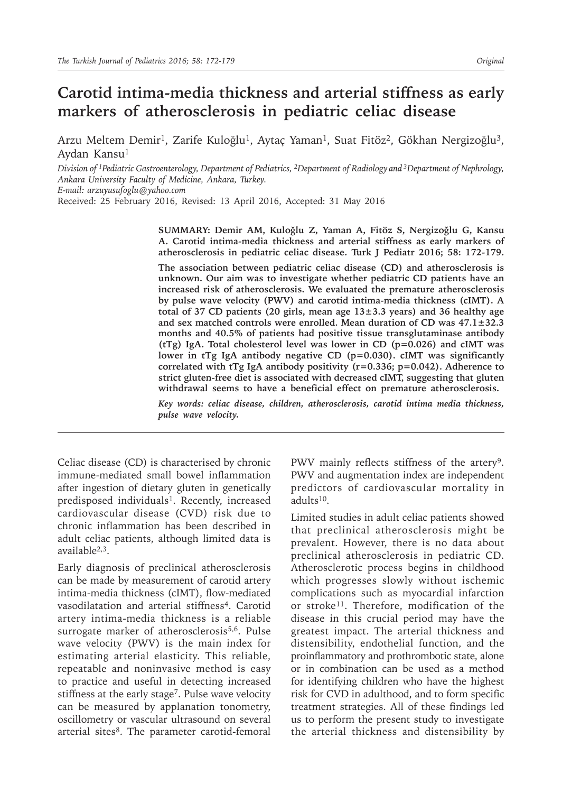# **Carotid intima-media thickness and arterial stiffness as early markers of atherosclerosis in pediatric celiac disease**

Arzu Meltem Demir<sup>1</sup>, Zarife Kuloğlu<sup>1</sup>, Aytaç Yaman<sup>1</sup>, Suat Fitöz<sup>2</sup>, Gökhan Nergizoğlu<sup>3</sup>, Aydan Kansu<sup>1</sup>

*Division of 1Pediatric Gastroenterology, Department of Pediatrics, 2Department of Radiology and 3Department of Nephrology, Ankara University Faculty of Medicine, Ankara, Turkey. E-mail: arzuyusufoglu@yahoo.com*

Received: 25 February 2016, Revised: 13 April 2016, Accepted: 31 May 2016

**SUMMARY: Demir AM, Kuloğlu Z, Yaman A, Fitöz S, Nergizoğlu G, Kansu A. Carotid intima-media thickness and arterial stiffness as early markers of atherosclerosis in pediatric celiac disease. Turk J Pediatr 2016; 58: 172-179.**

**The association between pediatric celiac disease (CD) and atherosclerosis is unknown. Our aim was to investigate whether pediatric CD patients have an increased risk of atherosclerosis. We evaluated the premature atherosclerosis by pulse wave velocity (PWV) and carotid intima-media thickness (cIMT). A total of 37 CD patients (20 girls, mean age 13±3.3 years) and 36 healthy age and sex matched controls were enrolled. Mean duration of CD was 47.1±32.3 months and 40.5% of patients had positive tissue transglutaminase antibody (tTg) IgA. Total cholesterol level was lower in CD (p=0.026) and cIMT was lower in tTg IgA antibody negative CD (p=0.030). cIMT was significantly correlated with tTg IgA antibody positivity (r=0.336; p=0.042). Adherence to strict gluten-free diet is associated with decreased cIMT, suggesting that gluten withdrawal seems to have a beneficial effect on premature atherosclerosis.**

*Key words: celiac disease, children, atherosclerosis, carotid intima media thickness, pulse wave velocity.*

Celiac disease (CD) is characterised by chronic immune-mediated small bowel inflammation after ingestion of dietary gluten in genetically predisposed individuals<sup>1</sup>. Recently, increased cardiovascular disease (CVD) risk due to chronic inflammation has been described in adult celiac patients, although limited data is available2,3.

Early diagnosis of preclinical atherosclerosis can be made by measurement of carotid artery intima-media thickness (cIMT), flow-mediated vasodilatation and arterial stiffness<sup>4</sup>. Carotid artery intima-media thickness is a reliable surrogate marker of atherosclerosis<sup>5,6</sup>. Pulse wave velocity (PWV) is the main index for estimating arterial elasticity. This reliable, repeatable and noninvasive method is easy to practice and useful in detecting increased stiffness at the early stage<sup>7</sup>. Pulse wave velocity can be measured by applanation tonometry, oscillometry or vascular ultrasound on several arterial sites<sup>8</sup>. The parameter carotid-femoral

PWV mainly reflects stiffness of the artery<sup>9</sup>. PWV and augmentation index are independent predictors of cardiovascular mortality in adults10.

Limited studies in adult celiac patients showed that preclinical atherosclerosis might be prevalent. However, there is no data about preclinical atherosclerosis in pediatric CD. Atherosclerotic process begins in childhood which progresses slowly without ischemic complications such as myocardial infarction or stroke<sup>11</sup>. Therefore, modification of the disease in this crucial period may have the greatest impact. The arterial thickness and distensibility, endothelial function, and the proinflammatory and prothrombotic state, alone or in combination can be used as a method for identifying children who have the highest risk for CVD in adulthood, and to form specific treatment strategies. All of these findings led us to perform the present study to investigate the arterial thickness and distensibility by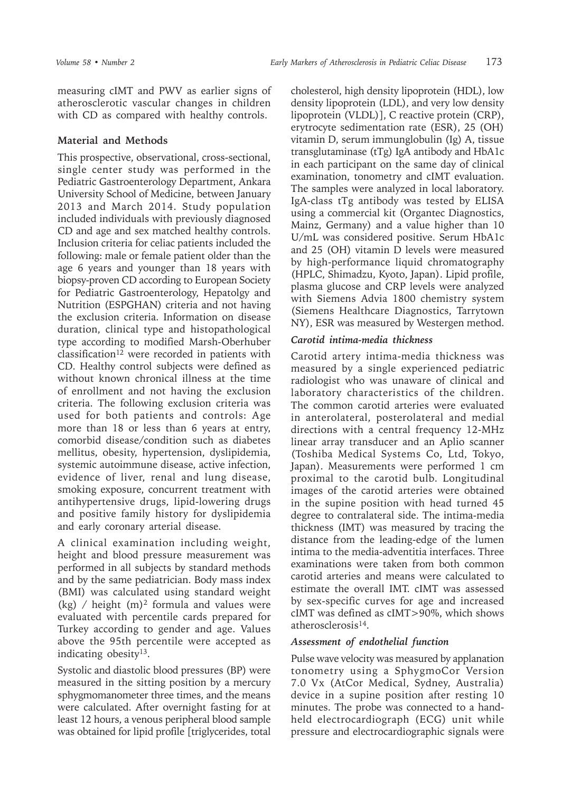measuring cIMT and PWV as earlier signs of atherosclerotic vascular changes in children with CD as compared with healthy controls.

# **Material and Methods**

This prospective, observational, cross-sectional, single center study was performed in the Pediatric Gastroenterology Department, Ankara University School of Medicine, between January 2013 and March 2014. Study population included individuals with previously diagnosed CD and age and sex matched healthy controls. Inclusion criteria for celiac patients included the following: male or female patient older than the age 6 years and younger than 18 years with biopsy-proven CD according to European Society for Pediatric Gastroenterology, Hepatolgy and Nutrition (ESPGHAN) criteria and not having the exclusion criteria. Information on disease duration, clinical type and histopathological type according to modified Marsh-Oberhuber classification<sup>12</sup> were recorded in patients with CD. Healthy control subjects were defined as without known chronical illness at the time of enrollment and not having the exclusion criteria. The following exclusion criteria was used for both patients and controls: Age more than 18 or less than 6 years at entry, comorbid disease/condition such as diabetes mellitus, obesity, hypertension, dyslipidemia, systemic autoimmune disease, active infection, evidence of liver, renal and lung disease, smoking exposure, concurrent treatment with antihypertensive drugs, lipid-lowering drugs and positive family history for dyslipidemia and early coronary arterial disease.

A clinical examination including weight, height and blood pressure measurement was performed in all subjects by standard methods and by the same pediatrician. Body mass index (BMI) was calculated using standard weight (kg) / height  $(m)^2$  formula and values were evaluated with percentile cards prepared for Turkey according to gender and age. Values above the 95th percentile were accepted as indicating obesity<sup>13</sup>.

Systolic and diastolic blood pressures (BP) were measured in the sitting position by a mercury sphygmomanometer three times, and the means were calculated. After overnight fasting for at least 12 hours, a venous peripheral blood sample was obtained for lipid profile [triglycerides, total

cholesterol, high density lipoprotein (HDL), low density lipoprotein (LDL), and very low density lipoprotein (VLDL)], C reactive protein (CRP), erytrocyte sedimentation rate (ESR), 25 (OH) vitamin D, serum immunglobulin (Ig) A, tissue transglutaminase (tTg) IgA antibody and HbA1c in each participant on the same day of clinical examination, tonometry and cIMT evaluation. The samples were analyzed in local laboratory. IgA-class tTg antibody was tested by ELISA using a commercial kit (Organtec Diagnostics, Mainz, Germany) and a value higher than 10 U/mL was considered positive. Serum HbA1c and 25 (OH) vitamin D levels were measured by high-performance liquid chromatography (HPLC, Shimadzu, Kyoto, Japan). Lipid profile, plasma glucose and CRP levels were analyzed with Siemens Advia 1800 chemistry system (Siemens Healthcare Diagnostics, Tarrytown NY), ESR was measured by Westergen method.

# *Carotid intima-media thickness*

Carotid artery intima-media thickness was measured by a single experienced pediatric radiologist who was unaware of clinical and laboratory characteristics of the children. The common carotid arteries were evaluated in anterolateral, posterolateral and medial directions with a central frequency 12-MHz linear array transducer and an Aplio scanner (Toshiba Medical Systems Co, Ltd, Tokyo, Japan). Measurements were performed 1 cm proximal to the carotid bulb. Longitudinal images of the carotid arteries were obtained in the supine position with head turned 45 degree to contralateral side. The intima-media thickness (IMT) was measured by tracing the distance from the leading-edge of the lumen intima to the media-adventitia interfaces. Three examinations were taken from both common carotid arteries and means were calculated to estimate the overall IMT. cIMT was assessed by sex-specific curves for age and increased cIMT was defined as cIMT>90%, which shows atherosclerosis14.

# *Assessment of endothelial function*

Pulse wave velocity was measured by applanation tonometry using a SphygmoCor Version 7.0 Vx (AtCor Medical, Sydney, Australia) device in a supine position after resting 10 minutes. The probe was connected to a handheld electrocardiograph (ECG) unit while pressure and electrocardiographic signals were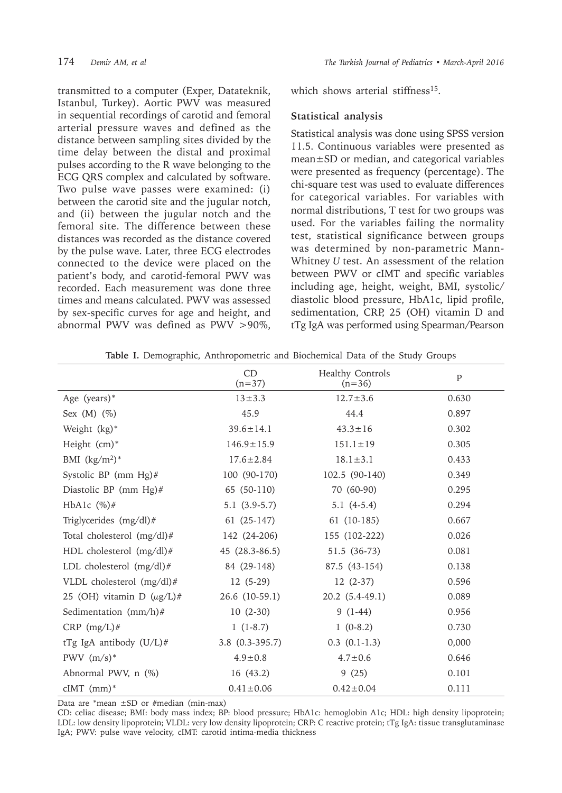transmitted to a computer (Exper, Datateknik, Istanbul, Turkey). Aortic PWV was measured in sequential recordings of carotid and femoral arterial pressure waves and defined as the distance between sampling sites divided by the time delay between the distal and proximal pulses according to the R wave belonging to the ECG QRS complex and calculated by software. Two pulse wave passes were examined: (i) between the carotid site and the jugular notch, and (ii) between the jugular notch and the femoral site. The difference between these distances was recorded as the distance covered by the pulse wave. Later, three ECG electrodes connected to the device were placed on the patient's body, and carotid-femoral PWV was recorded. Each measurement was done three times and means calculated. PWV was assessed by sex-specific curves for age and height, and abnormal PWV was defined as PWV >90%, which shows arterial stiffness<sup>15</sup>.

#### **Statistical analysis**

Statistical analysis was done using SPSS version 11.5. Continuous variables were presented as mean±SD or median, and categorical variables were presented as frequency (percentage). The chi-square test was used to evaluate differences for categorical variables. For variables with normal distributions, T test for two groups was used. For the variables failing the normality test, statistical significance between groups was determined by non-parametric Mann-Whitney *U* test. An assessment of the relation between PWV or cIMT and specific variables including age, height, weight, BMI, systolic/ diastolic blood pressure, HbA1c, lipid profile, sedimentation, CRP, 25 (OH) vitamin D and tTg IgA was performed using Spearman/Pearson

|                                 | CD<br>$(n=37)$      | Healthy Controls<br>$(n=36)$ | P     |
|---------------------------------|---------------------|------------------------------|-------|
| Age (years)*                    | $13 + 3.3$          | $12.7 \pm 3.6$               | 0.630 |
| Sex $(M)$ $(\%)$                | 45.9                | 44.4                         | 0.897 |
| Weight (kg)*                    | $39.6 \pm 14.1$     | $43.3 \pm 16$                | 0.302 |
| Height (cm)*                    | $146.9 \pm 15.9$    | $151.1 \pm 19$               | 0.305 |
| BMI $(kg/m^2)^*$                | $17.6 \pm 2.84$     | $18.1 \pm 3.1$               | 0.433 |
| Systolic BP (mm Hg)#            | 100 (90-170)        | 102.5 (90-140)               | 0.349 |
| Diastolic BP (mm Hg)#           | 65 (50-110)         | 70 (60-90)                   | 0.295 |
| HbA1c $(\%)$ #                  | $5.1(3.9-5.7)$      | $5.1(4-5.4)$                 | 0.294 |
| Triglycerides (mg/dl)#          | $61(25-147)$        | 61 (10-185)                  | 0.667 |
| Total cholesterol (mg/dl)#      | 142 (24-206)        | 155 (102-222)                | 0.026 |
| HDL cholesterol (mg/dl)#        | 45 (28.3-86.5)      | 51.5 (36-73)                 | 0.081 |
| LDL cholesterol (mg/dl)#        | 84 (29-148)         | 87.5 (43-154)                | 0.138 |
| VLDL cholesterol (mg/dl)#       | $12(5-29)$          | $12(2-37)$                   | 0.596 |
| 25 (OH) vitamin D $(\mu g/L)$ # | $26.6$ $(10-59.1)$  | $20.2(5.4-49.1)$             | 0.089 |
| Sedimentation (mm/h)#           | $10(2-30)$          | $9(1-44)$                    | 0.956 |
| CRP $(mg/L)$ #                  | $1(1-8.7)$          | $1(0-8.2)$                   | 0.730 |
| tTg IgA antibody $(U/L)$ #      | $3.8$ $(0.3-395.7)$ | $0.3$ $(0.1-1.3)$            | 0,000 |
| PWV $(m/s)^*$                   | $4.9 \pm 0.8$       | $4.7 \pm 0.6$                | 0.646 |
| Abnormal PWV, n (%)             | 16(43.2)            | 9(25)                        | 0.101 |
| $cIMT$ (mm)*                    | $0.41 \pm 0.06$     | $0.42 \pm 0.04$              | 0.111 |

**Table I.** Demographic, Anthropometric and Biochemical Data of the Study Groups

Data are  $*$ mean  $\pm$ SD or #median (min-max)

CD: celiac disease; BMI: body mass index; BP: blood pressure; HbA1c: hemoglobin A1c; HDL: high density lipoprotein; LDL: low density lipoprotein; VLDL: very low density lipoprotein; CRP: C reactive protein; tTg IgA: tissue transglutaminase IgA; PWV: pulse wave velocity, cIMT: carotid intima-media thickness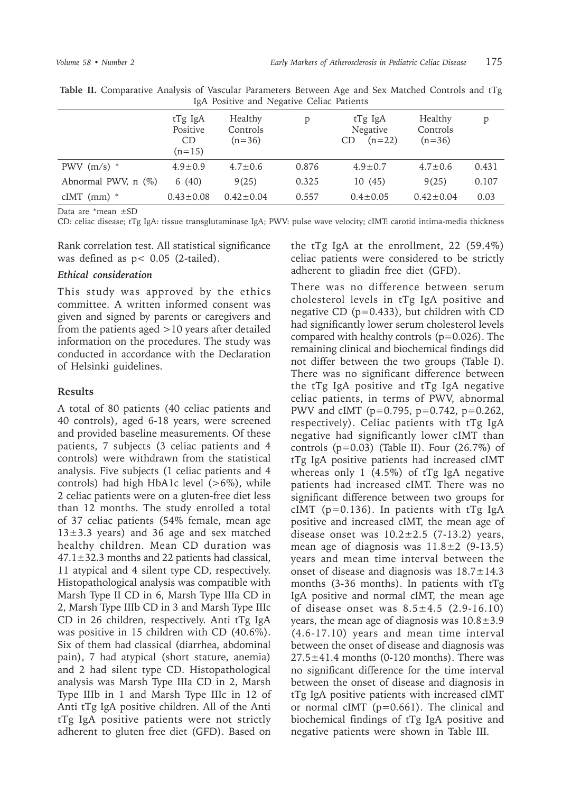|                     | tTg IgA<br>Positive<br>CD.<br>$(n=15)$ | Healthy<br>Controls<br>$(n=36)$ | p     | tTg IgA<br>Negative<br>$(n=22)$<br>CD | Healthy<br>Controls<br>$(n=36)$ | p     |
|---------------------|----------------------------------------|---------------------------------|-------|---------------------------------------|---------------------------------|-------|
| PWV $(m/s)$ *       | $4.9 \pm 0.9$                          | $4.7 \pm 0.6$                   | 0.876 | $4.9 \pm 0.7$                         | $4.7 \pm 0.6$                   | 0.431 |
| Abnormal PWV, n (%) | 6(40)                                  | 9(25)                           | 0.325 | 10(45)                                | 9(25)                           | 0.107 |
| $cIMT$ (mm) $*$     | $0.43 \pm 0.08$                        | $0.42 \pm 0.04$                 | 0.557 | $0.4 \pm 0.05$                        | $0.42 \pm 0.04$                 | 0.03  |

**Table II.** Comparative Analysis of Vascular Parameters Between Age and Sex Matched Controls and tTg IgA Positive and Negative Celiac Patients

Data are \*mean ±SD

CD: celiac disease; tTg IgA: tissue transglutaminase IgA; PWV: pulse wave velocity; cIMT: carotid intima-media thickness

Rank correlation test. All statistical significance was defined as p< 0.05 (2-tailed).

#### *Ethical consideration*

This study was approved by the ethics committee. A written informed consent was given and signed by parents or caregivers and from the patients aged  $>10$  years after detailed information on the procedures. The study was conducted in accordance with the Declaration of Helsinki guidelines.

### **Results**

A total of 80 patients (40 celiac patients and 40 controls), aged 6-18 years, were screened and provided baseline measurements. Of these patients, 7 subjects (3 celiac patients and 4 controls) were withdrawn from the statistical analysis. Five subjects (1 celiac patients and 4 controls) had high HbA1c level  $(>6\%)$ , while 2 celiac patients were on a gluten-free diet less than 12 months. The study enrolled a total of 37 celiac patients (54% female, mean age  $13\pm3.3$  years) and 36 age and sex matched healthy children. Mean CD duration was  $47.1 \pm 32.3$  months and 22 patients had classical, 11 atypical and 4 silent type CD, respectively. Histopathological analysis was compatible with Marsh Type II CD in 6, Marsh Type IIIa CD in 2, Marsh Type IIIb CD in 3 and Marsh Type IIIc CD in 26 children, respectively. Anti tTg IgA was positive in 15 children with CD (40.6%). Six of them had classical (diarrhea, abdominal pain), 7 had atypical (short stature, anemia) and 2 had silent type CD. Histopathological analysis was Marsh Type IIIa CD in 2, Marsh Type IIIb in 1 and Marsh Type IIIc in 12 of Anti tTg IgA positive children. All of the Anti tTg IgA positive patients were not strictly adherent to gluten free diet (GFD). Based on

the tTg IgA at the enrollment, 22 (59.4%) celiac patients were considered to be strictly adherent to gliadin free diet (GFD).

There was no difference between serum cholesterol levels in tTg IgA positive and negative CD (p=0.433), but children with CD had significantly lower serum cholesterol levels compared with healthy controls (p=0.026). The remaining clinical and biochemical findings did not differ between the two groups (Table I). There was no significant difference between the tTg IgA positive and tTg IgA negative celiac patients, in terms of PWV, abnormal PWV and cIMT (p=0.795, p=0.742, p=0.262, respectively). Celiac patients with tTg IgA negative had significantly lower cIMT than controls ( $p=0.03$ ) (Table II). Four (26.7%) of tTg IgA positive patients had increased cIMT whereas only 1 (4.5%) of tTg IgA negative patients had increased cIMT. There was no significant difference between two groups for cIMT ( $p=0.136$ ). In patients with tTg IgA positive and increased cIMT, the mean age of disease onset was  $10.2 \pm 2.5$  (7-13.2) years, mean age of diagnosis was  $11.8 \pm 2$  (9-13.5) years and mean time interval between the onset of disease and diagnosis was  $18.7 \pm 14.3$ months (3-36 months). In patients with tTg IgA positive and normal cIMT, the mean age of disease onset was  $8.5 \pm 4.5$  (2.9-16.10) years, the mean age of diagnosis was  $10.8 \pm 3.9$ (4.6-17.10) years and mean time interval between the onset of disease and diagnosis was  $27.5 \pm 41.4$  months (0-120 months). There was no significant difference for the time interval between the onset of disease and diagnosis in tTg IgA positive patients with increased cIMT or normal cIMT (p=0.661). The clinical and biochemical findings of tTg IgA positive and negative patients were shown in Table III.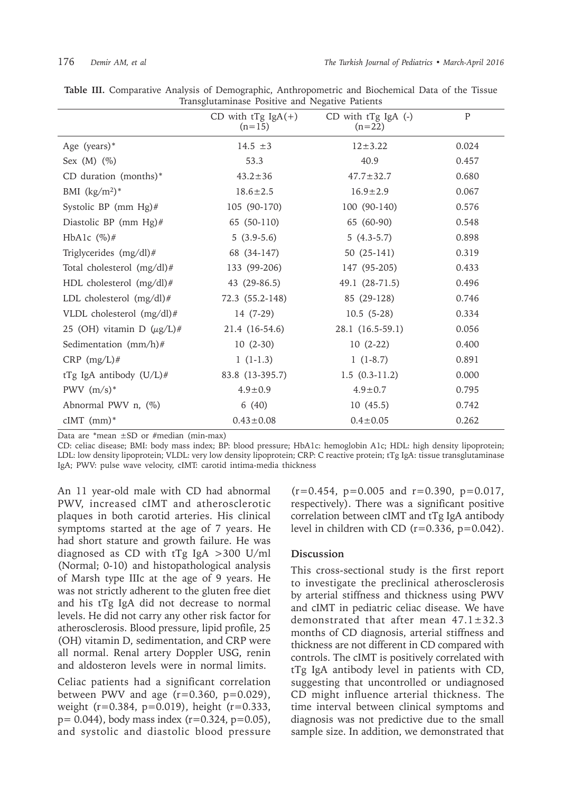|                                 | CD with $tTg$ IgA $(+)$<br>$(n=15)$ | CD with tTg IgA (-)<br>$(n=22)$ | P     |  |  |  |
|---------------------------------|-------------------------------------|---------------------------------|-------|--|--|--|
| Age (years)*                    | 14.5 $\pm 3$                        | $12 + 3.22$                     | 0.024 |  |  |  |
| Sex $(M)$ $(\%)$                | 53.3                                | 40.9                            | 0.457 |  |  |  |
| CD duration (months)*           | $43.2 \pm 36$                       | $47.7 \pm 32.7$                 | 0.680 |  |  |  |
| BMI $(kg/m^2)^*$                | $18.6 \pm 2.5$                      | $16.9 \pm 2.9$                  | 0.067 |  |  |  |
| Systolic BP (mm $Hg$ )#         | 105 (90-170)                        | 100 (90-140)                    | 0.576 |  |  |  |
| Diastolic BP (mm Hg)#           | 65 (50-110)                         | 65 (60-90)                      | 0.548 |  |  |  |
| HbA1c $(\%)$ #                  | $5(3.9-5.6)$                        | $5(4.3-5.7)$                    | 0.898 |  |  |  |
| Triglycerides (mg/dl)#          | 68 (34-147)                         | 50 $(25-141)$                   | 0.319 |  |  |  |
| Total cholesterol (mg/dl)#      | 133 (99-206)                        | 147 (95-205)                    | 0.433 |  |  |  |
| HDL cholesterol (mg/dl)#        | 43 (29-86.5)                        | 49.1 (28-71.5)                  | 0.496 |  |  |  |
| LDL cholesterol (mg/dl)#        | 72.3 (55.2-148)                     | 85 (29-128)                     | 0.746 |  |  |  |
| VLDL cholesterol (mg/dl)#       | 14 (7-29)                           | $10.5(5-28)$                    | 0.334 |  |  |  |
| 25 (OH) vitamin D $(\mu g/L)$ # | 21.4 (16-54.6)                      | 28.1 (16.5-59.1)                | 0.056 |  |  |  |
| Sedimentation (mm/h)#           | $10(2-30)$                          | $10(2-22)$                      | 0.400 |  |  |  |
| CRP $(mg/L)$ #                  | $1(1-1.3)$                          | $1(1-8.7)$                      | 0.891 |  |  |  |
| tTg IgA antibody $(U/L)$ #      | 83.8 (13-395.7)                     | $1.5(0.3-11.2)$                 | 0.000 |  |  |  |
| PWV $(m/s)*$                    | $4.9 \pm 0.9$                       | $4.9 \pm 0.7$                   | 0.795 |  |  |  |
| Abnormal PWV n, (%)             | 6(40)                               | 10(45.5)                        | 0.742 |  |  |  |
| $cIMT$ (mm)*                    | $0.43 \pm 0.08$                     | $0.4 \pm 0.05$                  | 0.262 |  |  |  |

|                                                 | Table III. Comparative Analysis of Demographic, Anthropometric and Biochemical Data of the Tissue |  |  |  |  |  |  |  |  |  |  |  |
|-------------------------------------------------|---------------------------------------------------------------------------------------------------|--|--|--|--|--|--|--|--|--|--|--|
| Transglutaminase Positive and Negative Patients |                                                                                                   |  |  |  |  |  |  |  |  |  |  |  |

Data are \*mean  $\pm$ SD or #median (min-max)

CD: celiac disease; BMI: body mass index; BP: blood pressure; HbA1c: hemoglobin A1c; HDL: high density lipoprotein; LDL: low density lipoprotein; VLDL: very low density lipoprotein; CRP: C reactive protein; tTg IgA: tissue transglutaminase IgA; PWV: pulse wave velocity, cIMT: carotid intima-media thickness

An 11 year-old male with CD had abnormal PWV, increased cIMT and atherosclerotic plaques in both carotid arteries. His clinical symptoms started at the age of 7 years. He had short stature and growth failure. He was diagnosed as CD with  $Tg$  IgA  $>300$  U/ml (Normal; 0-10) and histopathological analysis of Marsh type IIIc at the age of 9 years. He was not strictly adherent to the gluten free diet and his tTg IgA did not decrease to normal levels. He did not carry any other risk factor for atherosclerosis. Blood pressure, lipid profile, 25 (OH) vitamin D, sedimentation, and CRP were all normal. Renal artery Doppler USG, renin and aldosteron levels were in normal limits.

Celiac patients had a significant correlation between PWV and age  $(r=0.360, p=0.029)$ , weight (r=0.384, p=0.019), height (r=0.333,  $p= 0.044$ ), body mass index (r=0.324, p=0.05), and systolic and diastolic blood pressure

 $(r=0.454, p=0.005$  and  $r=0.390, p=0.017$ , respectively). There was a significant positive correlation between cIMT and tTg IgA antibody level in children with CD  $(r=0.336, p=0.042)$ .

### **Discussion**

This cross-sectional study is the first report to investigate the preclinical atherosclerosis by arterial stiffness and thickness using PWV and cIMT in pediatric celiac disease. We have demonstrated that after mean 47.1±32.3 months of CD diagnosis, arterial stiffness and thickness are not different in CD compared with controls. The cIMT is positively correlated with tTg IgA antibody level in patients with CD, suggesting that uncontrolled or undiagnosed CD might influence arterial thickness. The time interval between clinical symptoms and diagnosis was not predictive due to the small sample size. In addition, we demonstrated that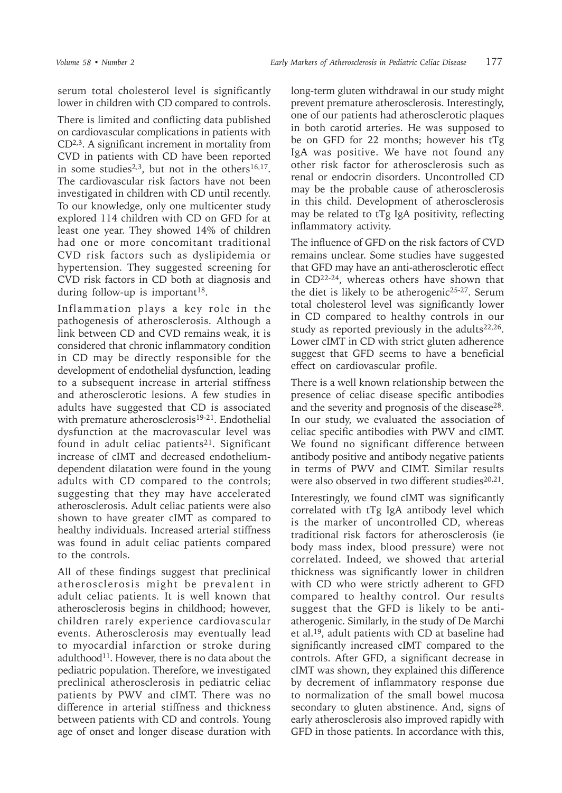serum total cholesterol level is significantly lower in children with CD compared to controls.

There is limited and conflicting data published on cardiovascular complications in patients with  $CD<sup>2,3</sup>$ . A significant increment in mortality from CVD in patients with CD have been reported in some studies<sup>2,3</sup>, but not in the others<sup>16,17</sup>. The cardiovascular risk factors have not been investigated in children with CD until recently. To our knowledge, only one multicenter study explored 114 children with CD on GFD for at least one year. They showed 14% of children had one or more concomitant traditional CVD risk factors such as dyslipidemia or hypertension. They suggested screening for CVD risk factors in CD both at diagnosis and during follow-up is important<sup>18</sup>.

Inflammation plays a key role in the pathogenesis of atherosclerosis. Although a link between CD and CVD remains weak, it is considered that chronic inflammatory condition in CD may be directly responsible for the development of endothelial dysfunction, leading to a subsequent increase in arterial stiffness and atherosclerotic lesions. A few studies in adults have suggested that CD is associated with premature atherosclerosis<sup>19-21</sup>. Endothelial dysfunction at the macrovascular level was found in adult celiac patients<sup>21</sup>. Significant increase of cIMT and decreased endotheliumdependent dilatation were found in the young adults with CD compared to the controls; suggesting that they may have accelerated atherosclerosis. Adult celiac patients were also shown to have greater cIMT as compared to healthy individuals. Increased arterial stiffness was found in adult celiac patients compared to the controls.

All of these findings suggest that preclinical atherosclerosis might be prevalent in adult celiac patients. It is well known that atherosclerosis begins in childhood; however, children rarely experience cardiovascular events. Atherosclerosis may eventually lead to myocardial infarction or stroke during adulthood<sup>11</sup>. However, there is no data about the pediatric population. Therefore, we investigated preclinical atherosclerosis in pediatric celiac patients by PWV and cIMT. There was no difference in arterial stiffness and thickness between patients with CD and controls. Young age of onset and longer disease duration with

long-term gluten withdrawal in our study might prevent premature atherosclerosis. Interestingly, one of our patients had atherosclerotic plaques in both carotid arteries. He was supposed to be on GFD for 22 months; however his tTg IgA was positive. We have not found any other risk factor for atherosclerosis such as renal or endocrin disorders. Uncontrolled CD may be the probable cause of atherosclerosis in this child. Development of atherosclerosis may be related to tTg IgA positivity, reflecting inflammatory activity.

The influence of GFD on the risk factors of CVD remains unclear. Some studies have suggested that GFD may have an anti-atherosclerotic effect in CD22-24, whereas others have shown that the diet is likely to be atherogenic25-27. Serum total cholesterol level was significantly lower in CD compared to healthy controls in our study as reported previously in the adults $22,26$ . Lower cIMT in CD with strict gluten adherence suggest that GFD seems to have a beneficial effect on cardiovascular profile.

There is a well known relationship between the presence of celiac disease specific antibodies and the severity and prognosis of the disease<sup>28</sup>. In our study, we evaluated the association of celiac specific antibodies with PWV and cIMT. We found no significant difference between antibody positive and antibody negative patients in terms of PWV and CIMT. Similar results were also observed in two different studies<sup>20,21</sup>.

Interestingly, we found cIMT was significantly correlated with tTg IgA antibody level which is the marker of uncontrolled CD, whereas traditional risk factors for atherosclerosis (ie body mass index, blood pressure) were not correlated. Indeed, we showed that arterial thickness was significantly lower in children with CD who were strictly adherent to GFD compared to healthy control. Our results suggest that the GFD is likely to be antiatherogenic. Similarly, in the study of De Marchi et al.<sup>19</sup>, adult patients with CD at baseline had significantly increased cIMT compared to the controls. After GFD, a significant decrease in cIMT was shown, they explained this difference by decrement of inflammatory response due to normalization of the small bowel mucosa secondary to gluten abstinence. And, signs of early atherosclerosis also improved rapidly with GFD in those patients. In accordance with this,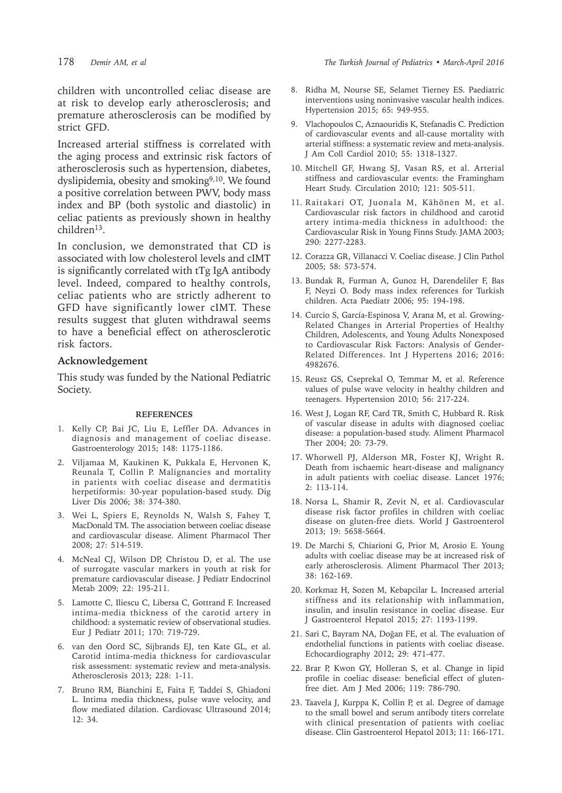children with uncontrolled celiac disease are at risk to develop early atherosclerosis; and premature atherosclerosis can be modified by strict GFD.

Increased arterial stiffness is correlated with the aging process and extrinsic risk factors of atherosclerosis such as hypertension, diabetes, dyslipidemia, obesity and smoking<sup>9,10</sup>. We found a positive correlation between PWV, body mass index and BP (both systolic and diastolic) in celiac patients as previously shown in healthy  $children<sup>13</sup>$ .

In conclusion, we demonstrated that CD is associated with low cholesterol levels and cIMT is significantly correlated with tTg IgA antibody level. Indeed, compared to healthy controls, celiac patients who are strictly adherent to GFD have significantly lower cIMT. These results suggest that gluten withdrawal seems to have a beneficial effect on atherosclerotic risk factors.

## **Acknowledgement**

This study was funded by the National Pediatric Society.

#### **REFERENCES**

- 1. Kelly CP, Bai JC, Liu E, Leffler DA. Advances in diagnosis and management of coeliac disease. Gastroenterology 2015; 148: 1175-1186.
- 2. Viljamaa M, Kaukinen K, Pukkala E, Hervonen K, Reunala T, Collin P. Malignancies and mortality in patients with coeliac disease and dermatitis herpetiformis: 30-year population-based study. Dig Liver Dis 2006; 38: 374-380.
- 3. Wei L, Spiers E, Reynolds N, Walsh S, Fahey T, MacDonald TM. The association between coeliac disease and cardiovascular disease. Aliment Pharmacol Ther 2008; 27: 514-519.
- 4. McNeal CJ, Wilson DP, Christou D, et al. The use of surrogate vascular markers in youth at risk for premature cardiovascular disease. J Pediatr Endocrinol Metab 2009; 22: 195-211.
- 5. Lamotte C, Iliescu C, Libersa C, Gottrand F. Increased intima-media thickness of the carotid artery in childhood: a systematic review of observational studies. Eur J Pediatr 2011; 170: 719-729.
- 6. van den Oord SC, Sijbrands EJ, ten Kate GL, et al. Carotid intima-media thickness for cardiovascular risk assessment: systematic review and meta-analysis. Atherosclerosis 2013; 228: 1-11.
- 7. Bruno RM, Bianchini E, Faita F, Taddei S, Ghiadoni L. Intima media thickness, pulse wave velocity, and flow mediated dilation. Cardiovasc Ultrasound 2014; 12: 34.
- 8. Ridha M, Nourse SE, Selamet Tierney ES. Paediatric interventions using noninvasive vascular health indices. Hypertension 2015; 65: 949-955.
- 9. Vlachopoulos C, Aznaouridis K, Stefanadis C. Prediction of cardiovascular events and all-cause mortality with arterial stiffness: a systematic review and meta-analysis. J Am Coll Cardiol 2010; 55: 1318-1327.
- 10. Mitchell GF, Hwang SJ, Vasan RS, et al. Arterial stiffness and cardiovascular events: the Framingham Heart Study. Circulation 2010; 121: 505-511.
- 11. Raitakari OT, Juonala M, Kähönen M, et al. Cardiovascular risk factors in childhood and carotid artery intima-media thickness in adulthood: the Cardiovascular Risk in Young Finns Study. JAMA 2003; 290: 2277-2283.
- 12. Corazza GR, Villanacci V. Coeliac disease. J Clin Pathol 2005; 58: 573-574.
- 13. Bundak R, Furman A, Gunoz H, Darendeliler F, Bas F, Neyzi O. Body mass index references for Turkish children. Acta Paediatr 2006; 95: 194-198.
- 14. Curcio S, García-Espinosa V, Arana M, et al. Growing-Related Changes in Arterial Properties of Healthy Children, Adolescents, and Young Adults Nonexposed to Cardiovascular Risk Factors: Analysis of Gender-Related Differences. Int J Hypertens 2016; 2016: 4982676.
- 15. Reusz GS, Cseprekal O, Temmar M, et al. Reference values of pulse wave velocity in healthy children and teenagers. Hypertension 2010; 56: 217-224.
- 16. West J, Logan RF, Card TR, Smith C, Hubbard R. Risk of vascular disease in adults with diagnosed coeliac disease: a population-based study. Aliment Pharmacol Ther 2004; 20: 73-79.
- 17. Whorwell PJ, Alderson MR, Foster KJ, Wright R. Death from ischaemic heart-disease and malignancy in adult patients with coeliac disease. Lancet 1976; 2: 113-114.
- 18. Norsa L, Shamir R, Zevit N, et al. Cardiovascular disease risk factor profiles in children with coeliac disease on gluten-free diets. World J Gastroenterol 2013; 19: 5658-5664.
- 19. De Marchi S, Chiarioni G, Prior M, Arosio E. Young adults with coeliac disease may be at increased risk of early atherosclerosis. Aliment Pharmacol Ther 2013; 38: 162-169.
- 20. Korkmaz H, Sozen M, Kebapcilar L. Increased arterial stiffness and its relationship with inflammation, insulin, and insulin resistance in coeliac disease. Eur J Gastroenterol Hepatol 2015; 27: 1193-1199.
- 21. Sari C, Bayram NA, Doğan FE, et al. The evaluation of endothelial functions in patients with coeliac disease. Echocardiography 2012; 29: 471-477.
- 22. Brar P, Kwon GY, Holleran S, et al. Change in lipid profile in coeliac disease: beneficial effect of glutenfree diet. Am J Med 2006; 119: 786-790.
- 23. Taavela J, Kurppa K, Collin P, et al. Degree of damage to the small bowel and serum antibody titers correlate with clinical presentation of patients with coeliac disease. Clin Gastroenterol Hepatol 2013; 11: 166-171.